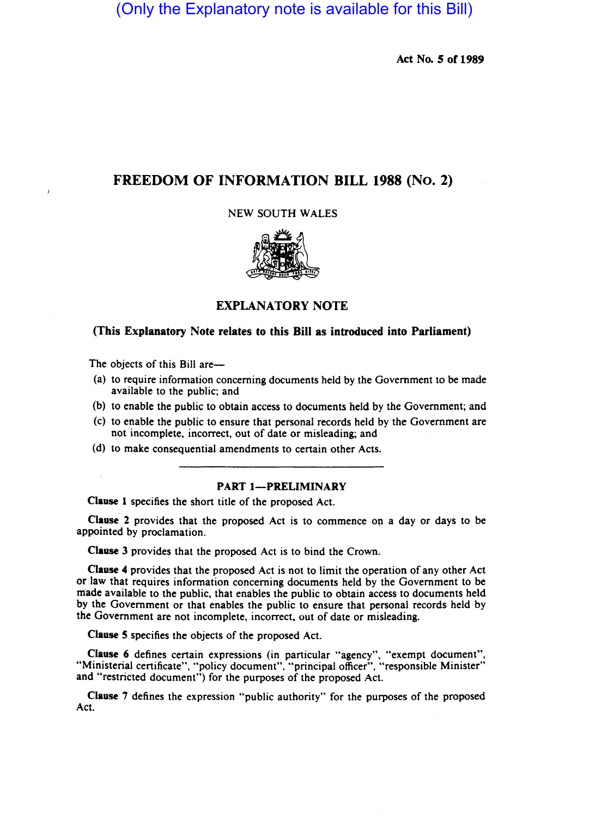(Only the Explanatory note is available for this Bill)

Act No. 5 of 1989

# FREEDOM OF INFORMATION BILL 1988 (No. 2)

NEW SOUTH WALES



EXPLANATORY NOTE

# (This Explanatory Note relates to this Bill as introduced into Parliament)

The objects of this Bill are-

- (a) to require information concerning documents held by the Government to be made available to the public; and
- (b) to enable the public to obtain access to documents held by the Government; and
- (c) to enable the public to ensure that personal records held by the Government are not incomplete, incorrect, out of date or misleading; and
- (d) to make consequential amendments to certain other Acts.

# PART 1-PRELIMINARY

Clause I specifies the short title of the proposed Act.

Clause 2 provides that the proposed Act is to commence on a day or days to be appointed by proclamation.

Clause 3 provides that the proposed Act is to bind the Crown.

Clause 4 provides that the proposed Act is not to limit the operation of any other Act or law that requires information concerning documents held by the Government to be made available to the public, that enables the public to obtain access to documents held by the Government or that enables the public to ensure that personal records held by the Government are not incomplete, incorrect, out of date or misleading.

Clause S specifies the objects of the proposed Act.

Clause 6 defines certain expressions (in particular "agency", "exempt document", "Ministerial certificate", "policy document", "principal officer", "responsible Minister" and "restricted document") for the purposes of the proposed Act.

Clause 7 defines the expression "public authority" for the purposes of the proposed Act.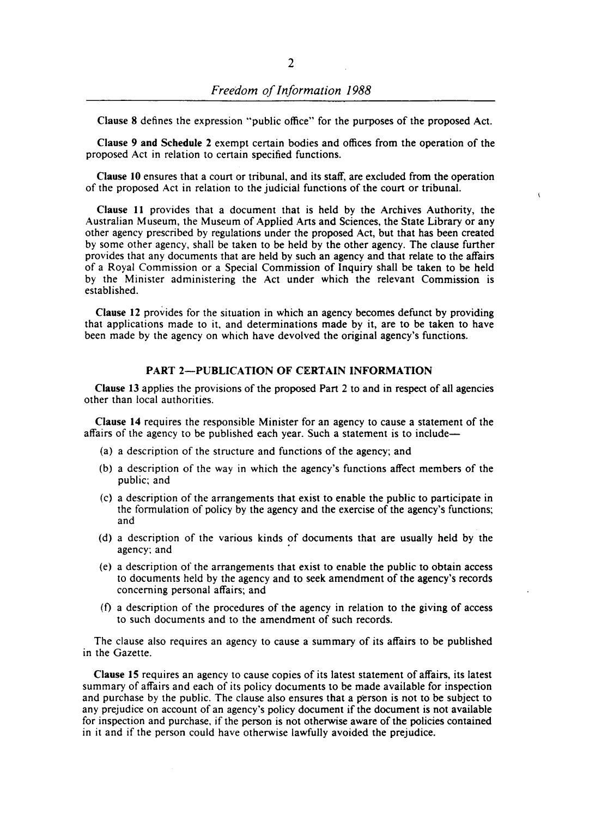Clause 8 defines the expression "public office" for the purposes of the proposed Act.

Clause 9 and Schedule 2 exempt certain bodies and offices from the operation of the proposed Act in relation to certain specified functions.

Clause 10 ensures that a court or tribunal, and its staff, are excluded from the operation of the proposed Act in relation to the judicial functions of the court or tribunal.

 $\epsilon$ 

Clause 11 provides that a document that is held by the Archives Authority, the Australian Museum, the Museum of Applied Arts and Sciences, the State Library or any other agency prescribed by regulations under the proposed Act, but that has been created by some other agency, shall be taken to be held by the other agency. The clause further provides that any documents that are held by such an agency and that relate to the affairs of a Royal Commission or a Special Commission of Inquiry shall be taken to be held by the Minister administering the Act under which the relevant Commission is established.

Clause 12 provides for the situation in which an agency becomes defunct by providing that applications made to it, and determinations made by it, are to be taken to have been made by the agency on which have devolved the original agency's functions.

# PART 2-PUBLICATION OF CERTAIN INFORMATION

Clause 13 applies the provisions of the proposed Part 2 to and in respect of all agencies other than local authorities.

Clause 14 requires the responsible Minister for an agency to cause a statement of the affairs of the agency to be published each year. Such a statement is to include--

- (a) a description of the structure and functions of the agency; and
- (b) a description of the way in which the agency's functions affect members of the public; and
- (c) a description of the arrangements that exist to enable the public to participate in the formulation of policy by the agency and the exercise of the agency's functions; and
- (d) a description of the various kinds of documents that are usually held by the agency; and
- (e) a description of the arrangements that exist to enable the public to obtain access to documents held by the agency and to seek amendment of the agency's records concerning personal affairs; and
- $(f)$  a description of the procedures of the agency in relation to the giving of access to such documents and to the amendment of such records.

The clause also requires an agency to cause a summary of its affairs to be published in the Gazette.

Clause 15 requires an agency to cause copies of its latest statement of affairs, its latest summary of affairs and each of its policy documents to be made available for inspection and purchase by the public. The clause also ensures that a person is not to be subject to any prejudice on account of an agency's policy document if the document is not available for inspection and purchase, if the person is not otherwise aware of the policies contained in it and if the person could have otherwise lawfully avoided the prejudice.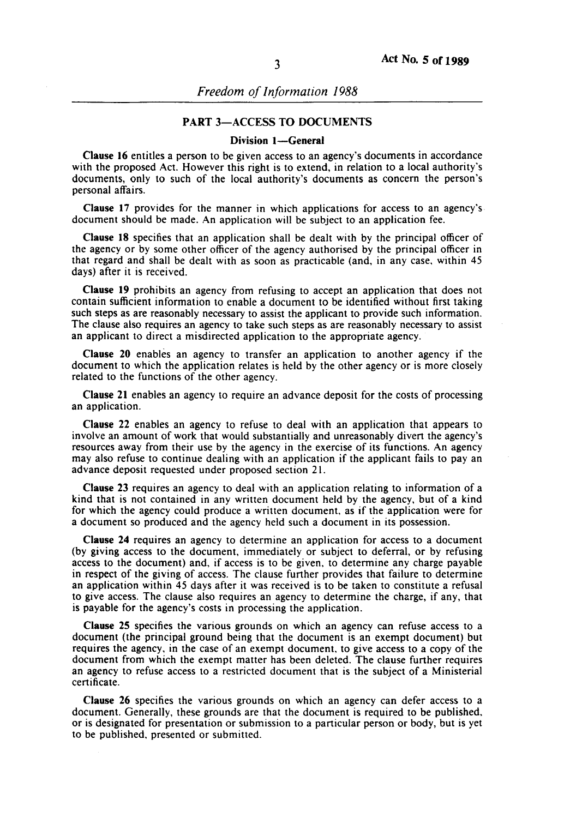# PART 3-ACCESS TO DOCUMENTS

## Division 1-General

Clause 16 entitles a person to be given access to an agency's documents in accordance with the proposed Act. However this right is to extend, in relation to a local authority's documents, only to such of the local authority's documents as concern the person's personal affairs.

Clause 17 provides for the manner in which applications for access to an agency's document should be made. An application will be subject to an application fee.

Clause 18 specifies that an application shall be dealt with by the principal officer of the agency or by some other officer of the agency authorised by the principal officer in that regard and shall be dealt with as soon as practicable (and, in any case. within 45 days) after it is received.

Clause 19 prohibits an agency from refusing to accept an application that does not contain sufficient information to enable a document to be identified without first taking such steps as are reasonably necessary to assist the applicant to provide such information. The clause also requires an agency to take such steps as are reasonably necessary to assist an applicant to direct a misdirected application to the appropriate agency.

Clause 20 enables an agency to transfer an application to another agency if the document to which the application relates is held by the other agency or is more closely related to the functions of the other agency.

Clause 21 enables an agency to require an advance deposit for the costs of processing an application.

Clause 22 enables an agency to refuse to deal with an application that appears to involve an amount of work that would substantially and unreasonably divert the agency's resources away from their use by the agency in the exercise of its functions. An agency may also refuse to continue dealing with an application if the applicant fails to pay an advance deposit requested under proposed section 21.

Clause 23 requires an agency to deal with an application relating to information of a kind that is not contained in any written document held by the agency, but of a kind for which the agency could produce a written document. as if the application were for a document so produced and the agency held such a document in its possession.

Clause 24 requires an agency to determine an application for access to a document (by giving access to the document, immediately or subject to deferral, or by refusing access to the document) and, if access is to be given. to determine any charge payable in respect of the giving of access. The clause further provides that failure to determine an application within 45 days after it was received is to be taken to constitute a refusal to give access. The clause also requires an agency to determine the charge, if any, that is payable for the agency's costs in processing the application.

Clause 25 specifies the various grounds on which an agency can refuse access to a document (the principal ground being that the document is an exempt document) but requires the agency, in the case of an exempt document. to give access to a copy of the document from which the exempt matter has been deleted. The clause further requires an agency to refuse access to a restricted document that is the subject of a Ministerial certificate.

Clause 26 specifies the various grounds on which an agency can defer access to a document. Generally, these grounds are that the document is required to be published. or is designated for presentation or submission to a particular person or body, but is yet to be published. presented or submitted.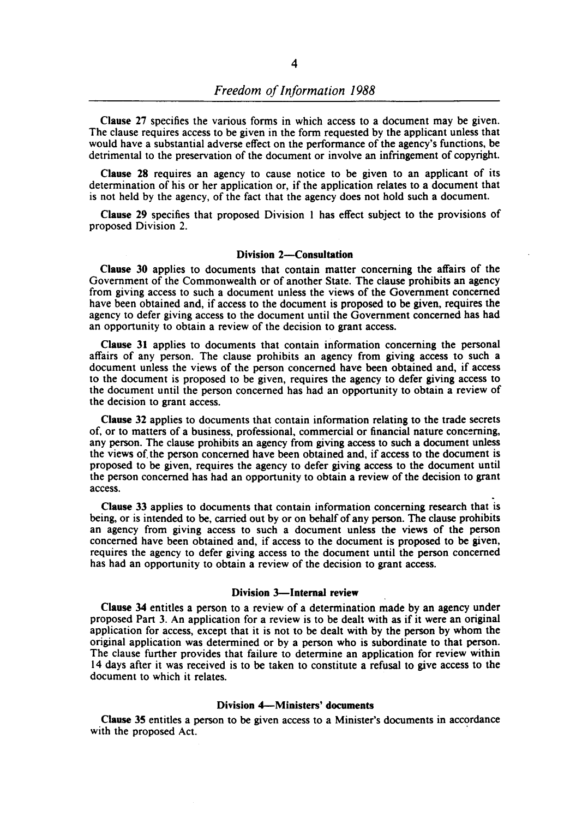Clause 27 specifies the various forms in which access to a document may be given. The clause requires access to be given in the form requested by the applicant unless that would have a substantial adverse effect on the performance of the agency's functions, be detrimental to the preservation of the document or involve an infringement of copyright.

Clause 28 requires an agency to cause notice to be given to an applicant of its determination of his or her application or, if the application relates to a document that is not held by the agency, of the fact that the agency does not hold such a document.

Clause 29 specifies that proposed Division I has effect subject to the provisions of proposed Division 2.

#### Division 2-Consultation

Clause 30 applies to documents that contain matter concerning the affairs of the Government of the Commonwealth or of another State. The clause prohibits an agency from giving access to such a document unless the views of the Government concerned have been obtained and, if access to the document is proposed to be given, requires the agency to defer giving access to the document until the Government concerned has had an opportunity to obtain a review of the decision to grant access.

Clause 31 applies to documents that contain information concerning the personal affairs of any person. The clause prohibits an agency from giving access to such a document unless the views of the person concerned have been obtained and, if access to the document is proposed to be given, requires the agency to defer giving access to the document until the person concerned has had an opportunity to obtain a review of the decision to grant access.

Clause 32 applies to documents that contain information relating to the trade secrets of, or to matters of a business, professional, commercial or financial nature concerning, any person. The clause prohibits an agency from giving access to such a document unless the views of. the person concerned have been obtained and, if access to the document is proposed to be given, requires the agency to defer giving access to the document until the person concerned has had an opportunity to obtain a review of the decision to grant access.

Clause 33 applies to documents that contain information concerning research that is being, or is intended to be, carried out by or on behalf of any person. The clause prohibits an agency from giving access to such a document unless the views of the person concerned have been obtained and, if access to the document is proposed to be given, requires the agency to defer giving access to the document until the person concerned has had an opportunity to obtain a review of the decision to grant access.

### Division 3-Internal review

Clause 34 entitIes a person to a review of a determination made by an agency under proposed Part 3. An application for a review is to be dealt with as if it were an original application for access, except that it is not to be dealt with by the person by whom the original application was determined or by a person who is subordinate to that person. The clause further provides that failure to determine an application for review within 14 days after it was received is to be taken to constitute a refusal to give access to the document to which it relates.

# Division 4-Ministers' documents

Clause 35 entitles a person to be given access to a Minister's documents in accordance with the proposed Act.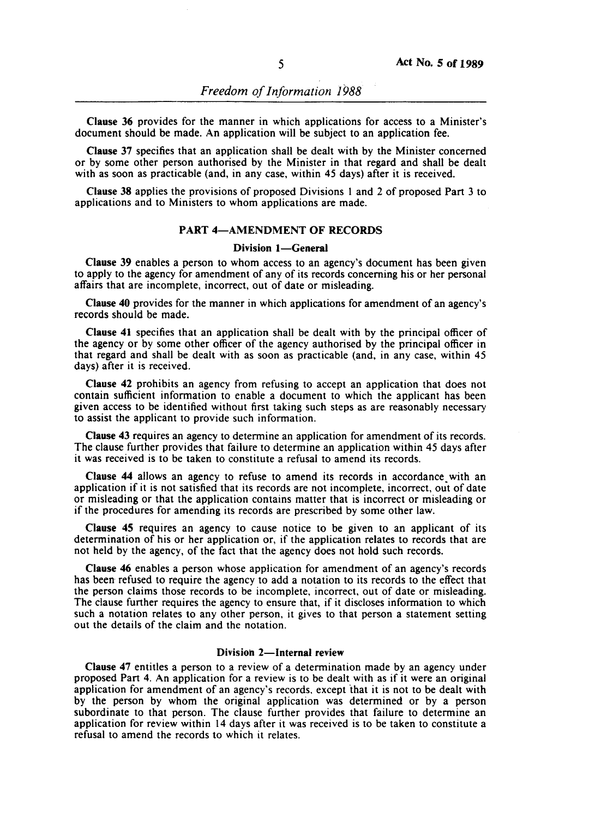Clause 36 provides for the manner in which applications for access to a Minister's document should be made. An application will be subject to an application fee.

Clause 37 specifies that an application shall be dealt with by the Minister concerned or by some other person authorised by the Minister in that regard and shall be dealt with as soon as practicable (and, in any case, within 45 days) after it is received.

Clause 38 applies the provisions of proposed Divisions I and 2 of proposed Part 3 to applications and to Ministers to whom applications are made.

# PART 4-AMENDMENT OF RECORDS

#### Division 1-General

Clause 39 enables a person to whom access to an agency's document has been given to apply to the agency for amendment of any of its records concerning his or her personal affairs that are incomplete, incorrect, out of date or misleading.

Clause 40 provides for the manner in which applications for amendment of an agency's records should be made.

Clause 41 specifies that an application shall be dealt with by the principal officer of the agency or by some other officer of the agency authorised by the principal officer in that regard and shall be dealt with as soon as practicable (and, in any case, within 45 days) after it is received.

Clause 42 prohibits an agency from refusing to accept an application that does not contain sufficient information to enable a document to which the applicant has been given access to be identified without first taking such steps as are reasonably necessary to assist the applicant to provide such information.

Clause 43 requires an agency to determine an application for amendment of its records. The clause further provides that failure to determine an application within 45 days after it was received is to be taken to constitute a refusal to amend its records.

Clause 44 allows an agency to refuse to amend its records in accordance with an application if it is not satisfied that its records are not incomplete, incorrect, out of date or misleading or that the application contains matter that is incorrect or misleading or if the procedures for amending its records are prescribed by some other law.

Clause 45 requires an agency to cause notice to be given to an applicant of its determination of his or her application or, if the application relates to records that are not held by the agency, of the fact that the agency does not hold such records.

Clause 46 enables a person whose application for amendment of an agency's records has been refused to require the agency to add a notation to its records to the effect that the person claims those records to be incomplete, incorrect, out of date or misleading. The clause further requires the agency to ensure that, if it discloses information to which such a notation relates to any other person, it gives to that person a statement setting out the details of the claim and the notation.

# Division 2-Internal review

Clause 47 entitles a person to a review of a determination made by an agency under proposed Part 4. An application for a review is to be dealt with as if it were an original application for amendment of an agency's records. except that it is not to be dealt with by the person by whom the original application was determined or by a person subordinate to that person. The clause further provides that failure to determine an application for review within 14 days after it was received is to be taken to constitute a refusal to amend the records to which it relates.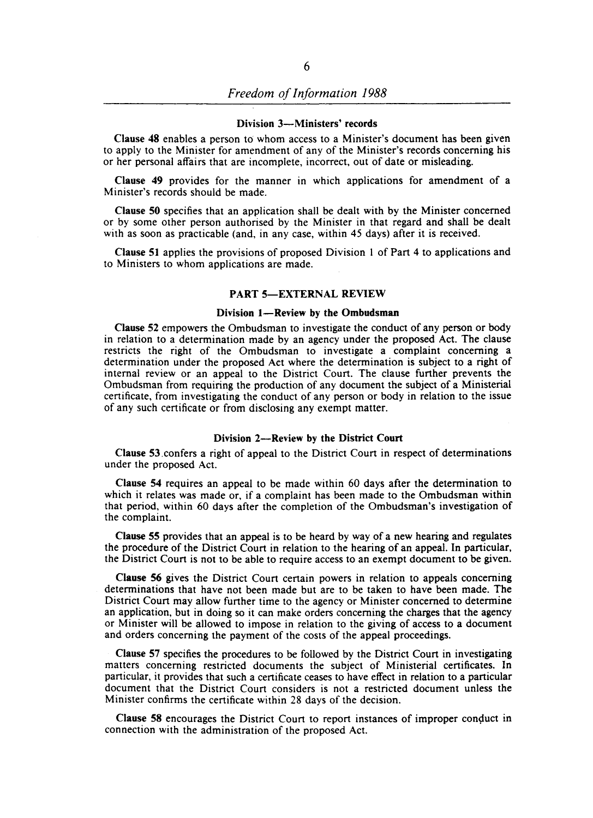#### Division 3-Ministers' records

Clause 48 enables a person to whom access to a Minister's document has been given to apply to the Minister for amendment of any of the Minister's records concerning his or her personal affairs that are incomplete, incorrect, out of date or misleading.

Clause 49 provides for the manner in which applications for amendment of a Minister's records should be made.

Clause 50 specifies that an application shall be dealt with by the Minister concerned or by some other person authorised by the Minister in that regard and shall be dealt with as soon as practicable (and, in any case, within 45 days) after it is received.

Clause 51 applies the provisions of proposed Division 1 of Part 4 to applications and to Ministers to whom applications are made.

#### PART 5-EXTERNAL REVIEW

### Division 1-Review by the Ombudsman

Clause 52 empowers the Ombudsman to investigate the conduct of any person or body in relation to a determination made by an agency under the proposed Act. The clause restricts the right of the Ombudsman to investigate a complaint concerning a determination under the proposed Act where the determination is subject to a right of internal review or an appeal to the District Court. The clause further prevents the Ombudsman from requiring the production of any document the subject of a Ministerial certificate, from investigating the conduct of any person or body in relation to the issue of any such certificate or from disclosing any exempt matter.

### Division 2-Review by the District Court

Clause 53.confers a right of appeal to the District Court in respect of determinations under the proposed Act.

Clause 54 requires an appeal to be made within 60 days after the determination to which it relates was made or, if a complaint has been made to the Ombudsman within that period, within 60 days after the completion of the Ombudsman's investigation of the complaint.

Clause 55 provides that an appeal is to be heard by way of a new hearing and regulates the procedure of the District Court in relation to the hearing of an appeal. In particular, the District Court is not to be able to require access to an exempt document to be given.

Clause 56 gives the District Court certain powers in relation to appeals concerning determinations that have not been made but are to be taken to have been made. The District Court may allow further time to the agency or Minister concerned to determine an application, but in doing so it can make orders concerning the charges that the agency or Minister will be allowed to impose in relation to the giving of access to a document and orders concerning the payment of the costs of the appeal proceedings.

Clause 57 specifies the procedures to be followed by the District Court in investigating matters concerning restricted documents the subject of Ministerial certificates. In particular, it provides that such a certificate ceases to have effect in relation to a particular document that the District Court considers is not a restricted document unless the Minister confirms the certificate within 28 days of the decision.

Clause 58 encourages the District Court to report instances of improper conduct in connection with the administration of the proposed Act.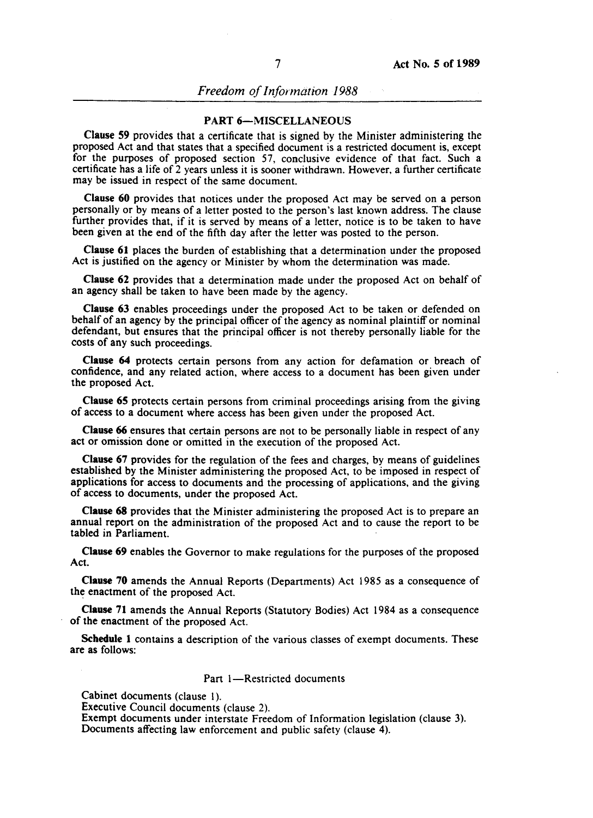*Freedom of Information 1988* 

### PART 6-MISCELLANEOUS

Clause 59 provides that a certificate that is signed by the Minister administering the proposed Act and that states that a specified document is a restricted document is, except for the purposes of proposed section 57, conclusive evidence of that fact. Such a certificate has a life of 2 years unless it is sooner withdrawn. However, a further certificate may be issued in respect of the same document.

Clause 60 provides that notices under the proposed Act may be served on a person personally or by means of a letter posted to the person's last known address. The clause further provides that, if it is served by means of a letter, notice is to be taken to have been given at the end of the fifth day after the letter was posted to the person.

Clause 61 places the burden of establishing that a determination under the proposed Act is justified on the agency or Minister by whom the determination was made.

Clause 62 provides that a determination made under the proposed Act on behalf of an agency shall be taken to have been made by the agency.

Clause 63 enables proceedings under the proposed Act to be taken or defended on behalf of an agency by the principal officer of the agency as nominal plaintiff or nominal defendant, but ensures that the principal officer is not thereby personally liable for the costs of any such proceedings.

Clause 64 protects certain persons from any action for defamation or breach of confidence, and any related action, where access to a document has been given under the proposed Act.

Clause 65 protects certain persons from criminal proceedings arising from the giving of access to a document where access has been given under the proposed Act.

Clause 66 ensures that certain persons are not to be personally liable in respect of any act or omission done or omitted in the execution of the proposed Act.

Clause 67 provides for the regulation of the fees and charges, by means of guidelines established by the Minister administering the proposed Act, to be imposed in respect of applications for access to documents and the processing of applications, and the giving of access to documents, under the proposed Act.

Clause 68 provides that the Minister administering the proposed Act is to prepare an annual report on the administration of the proposed Act and to cause the report to be tabled in Parliament.

Clause 69 enables the Governor to make regulations for the purposes of the proposed Act.

Clause 70 amends the Annual Reports (Departments) Act 1985 as a consequence of the enactment of the proposed Act.

Clause 71 amends the Annual Reports (Statutory Bodies) Act 1984 as a consequence of the enactment of the proposed Act.

Schedule 1 contains a description of the various classes of exempt documents. These are as follows:

# Part 1-Restricted documents

Cabinet documents (clause I).

Executive Council documents (clause 2).

Exempt documents under interstate Freedom of Information legislation (clause 3). Documents affecting law enforcement and public safety (clause 4).